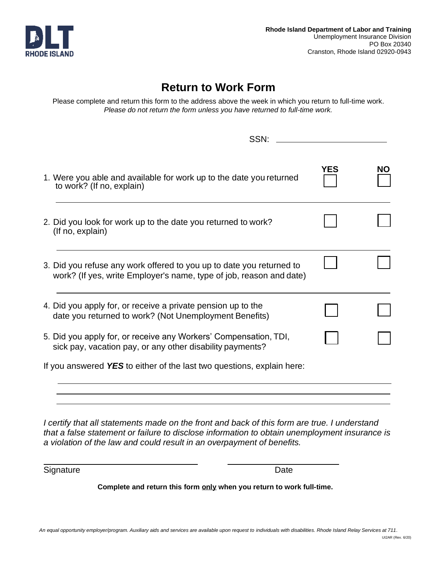

## **Return to Work Form**

Please complete and return this form to the address above the week in which you return to full-time work. *Please do not return the form unless you have returned to full-time work.*

| SSN:                                                                                                                                        |            |    |
|---------------------------------------------------------------------------------------------------------------------------------------------|------------|----|
| 1. Were you able and available for work up to the date you returned<br>to work? (If no, explain)                                            | <b>YES</b> | NΟ |
| 2. Did you look for work up to the date you returned to work?<br>(If no, explain)                                                           |            |    |
| 3. Did you refuse any work offered to you up to date you returned to<br>work? (If yes, write Employer's name, type of job, reason and date) |            |    |
| 4. Did you apply for, or receive a private pension up to the<br>date you returned to work? (Not Unemployment Benefits)                      |            |    |
| 5. Did you apply for, or receive any Workers' Compensation, TDI,<br>sick pay, vacation pay, or any other disability payments?               |            |    |
| If you answered YES to either of the last two questions, explain here:                                                                      |            |    |
|                                                                                                                                             |            |    |

*I certify that all statements made on the front and back of this form are true. I understand that a false statement or failure to disclose information to obtain unemployment insurance is a violation of the law and could result in an overpayment of benefits.*

Signature Date

**Complete and return this form only when you return to work full-time.**